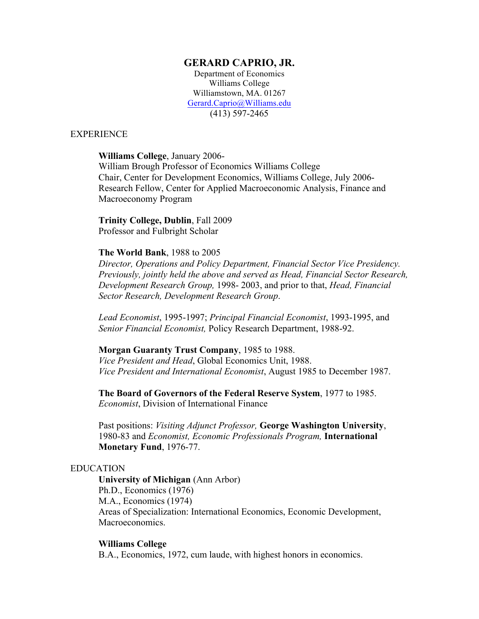## **GERARD CAPRIO, JR.**

Department of Economics Williams College Williamstown, MA. 01267 Gerard.Caprio@Williams.edu (413) 597-2465

## EXPERIENCE

## **Williams College**, January 2006-

William Brough Professor of Economics Williams College Chair, Center for Development Economics, Williams College, July 2006- Research Fellow, Center for Applied Macroeconomic Analysis, Finance and Macroeconomy Program

# **Trinity College, Dublin**, Fall 2009

Professor and Fulbright Scholar

## **The World Bank**, 1988 to 2005

*Director, Operations and Policy Department, Financial Sector Vice Presidency. Previously, jointly held the above and served as Head, Financial Sector Research, Development Research Group,* 1998- 2003, and prior to that, *Head, Financial Sector Research, Development Research Group*.

*Lead Economist*, 1995-1997; *Principal Financial Economist*, 1993-1995, and *Senior Financial Economist,* Policy Research Department, 1988-92.

## **Morgan Guaranty Trust Company**, 1985 to 1988.

*Vice President and Head*, Global Economics Unit, 1988. *Vice President and International Economist*, August 1985 to December 1987.

**The Board of Governors of the Federal Reserve System**, 1977 to 1985. *Economist*, Division of International Finance

Past positions: *Visiting Adjunct Professor,* **George Washington University**, 1980-83 and *Economist, Economic Professionals Program,* **International Monetary Fund**, 1976-77.

## EDUCATION

**University of Michigan** (Ann Arbor) Ph.D., Economics (1976) M.A., Economics (1974) Areas of Specialization: International Economics, Economic Development, Macroeconomics.

#### **Williams College**

B.A., Economics, 1972, cum laude, with highest honors in economics.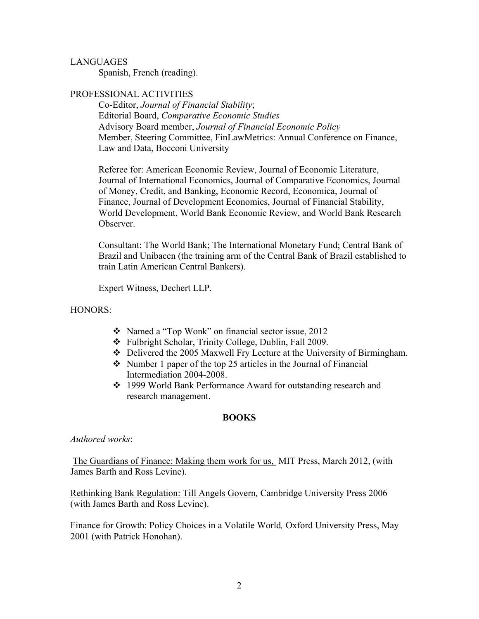## LANGUAGES

Spanish, French (reading).

## PROFESSIONAL ACTIVITIES

Co-Editor, *Journal of Financial Stability*; Editorial Board, *Comparative Economic Studies* Advisory Board member, *Journal of Financial Economic Policy* Member, Steering Committee, FinLawMetrics: Annual Conference on Finance, Law and Data, Bocconi University

Referee for: American Economic Review, Journal of Economic Literature, Journal of International Economics, Journal of Comparative Economics, Journal of Money, Credit, and Banking, Economic Record, Economica, Journal of Finance, Journal of Development Economics, Journal of Financial Stability, World Development, World Bank Economic Review, and World Bank Research Observer.

Consultant: The World Bank; The International Monetary Fund; Central Bank of Brazil and Unibacen (the training arm of the Central Bank of Brazil established to train Latin American Central Bankers).

Expert Witness, Dechert LLP.

## HONORS:

- Named a "Top Wonk" on financial sector issue, 2012
- Fulbright Scholar, Trinity College, Dublin, Fall 2009.
- Delivered the 2005 Maxwell Fry Lecture at the University of Birmingham.
- $\cdot$  Number 1 paper of the top 25 articles in the Journal of Financial Intermediation 2004-2008.
- ◆ 1999 World Bank Performance Award for outstanding research and research management.

## **BOOKS**

## *Authored works*:

The Guardians of Finance: Making them work for us, MIT Press, March 2012, (with James Barth and Ross Levine).

Rethinking Bank Regulation: Till Angels Govern*,* Cambridge University Press 2006 (with James Barth and Ross Levine).

Finance for Growth: Policy Choices in a Volatile World*,* Oxford University Press, May 2001 (with Patrick Honohan).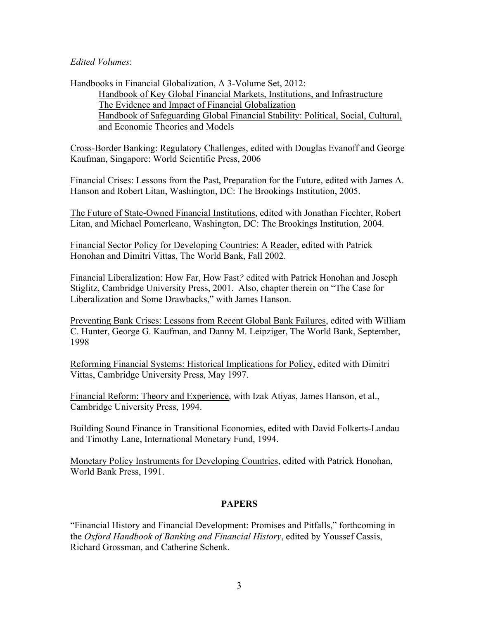## *Edited Volumes*:

Handbooks in Financial Globalization, A 3-Volume Set, 2012: Handbook of Key Global Financial Markets, Institutions, and Infrastructure The Evidence and Impact of Financial Globalization Handbook of Safeguarding Global Financial Stability: Political, Social, Cultural, and Economic Theories and Models

Cross-Border Banking: Regulatory Challenges, edited with Douglas Evanoff and George Kaufman, Singapore: World Scientific Press, 2006

Financial Crises: Lessons from the Past, Preparation for the Future, edited with James A. Hanson and Robert Litan, Washington, DC: The Brookings Institution, 2005.

The Future of State-Owned Financial Institutions, edited with Jonathan Fiechter, Robert Litan, and Michael Pomerleano, Washington, DC: The Brookings Institution, 2004.

Financial Sector Policy for Developing Countries: A Reader, edited with Patrick Honohan and Dimitri Vittas, The World Bank, Fall 2002.

Financial Liberalization: How Far, How Fast*?* edited with Patrick Honohan and Joseph Stiglitz, Cambridge University Press, 2001. Also, chapter therein on "The Case for Liberalization and Some Drawbacks," with James Hanson.

Preventing Bank Crises: Lessons from Recent Global Bank Failures, edited with William C. Hunter, George G. Kaufman, and Danny M. Leipziger, The World Bank, September, 1998

Reforming Financial Systems: Historical Implications for Policy, edited with Dimitri Vittas, Cambridge University Press, May 1997.

Financial Reform: Theory and Experience, with Izak Atiyas, James Hanson, et al., Cambridge University Press, 1994.

Building Sound Finance in Transitional Economies, edited with David Folkerts-Landau and Timothy Lane, International Monetary Fund, 1994.

Monetary Policy Instruments for Developing Countries, edited with Patrick Honohan, World Bank Press, 1991.

# **PAPERS**

"Financial History and Financial Development: Promises and Pitfalls," forthcoming in the *Oxford Handbook of Banking and Financial History*, edited by Youssef Cassis, Richard Grossman, and Catherine Schenk.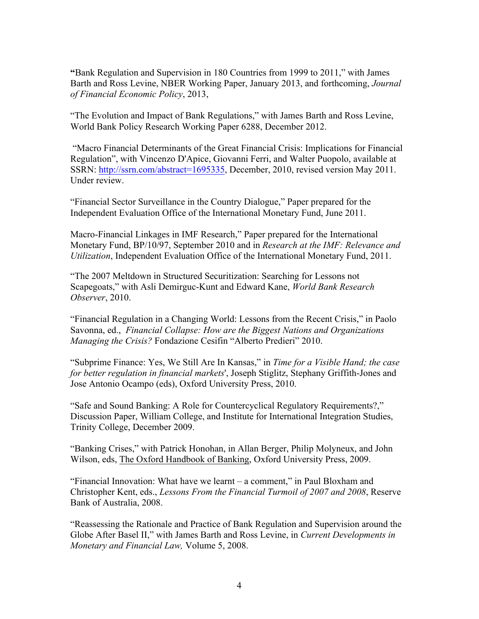**"**Bank Regulation and Supervision in 180 Countries from 1999 to 2011," with James Barth and Ross Levine, NBER Working Paper, January 2013, and forthcoming, *Journal of Financial Economic Policy*, 2013,

"The Evolution and Impact of Bank Regulations," with James Barth and Ross Levine, World Bank Policy Research Working Paper 6288, December 2012.

"Macro Financial Determinants of the Great Financial Crisis: Implications for Financial Regulation", with Vincenzo D'Apice, Giovanni Ferri, and Walter Puopolo, available at SSRN: http://ssrn.com/abstract=1695335, December, 2010, revised version May 2011. Under review.

"Financial Sector Surveillance in the Country Dialogue," Paper prepared for the Independent Evaluation Office of the International Monetary Fund, June 2011.

Macro-Financial Linkages in IMF Research," Paper prepared for the International Monetary Fund, BP/10/97, September 2010 and in *Research at the IMF: Relevance and Utilization*, Independent Evaluation Office of the International Monetary Fund, 2011.

"The 2007 Meltdown in Structured Securitization: Searching for Lessons not Scapegoats," with Asli Demirguc-Kunt and Edward Kane, *World Bank Research Observer*, 2010.

"Financial Regulation in a Changing World: Lessons from the Recent Crisis," in Paolo Savonna, ed., *Financial Collapse: How are the Biggest Nations and Organizations Managing the Crisis?* Fondazione Cesifin "Alberto Predieri" 2010.

"Subprime Finance: Yes, We Still Are In Kansas," in *Time for a Visible Hand; the case for better regulation in financial markets*', Joseph Stiglitz, Stephany Griffith-Jones and Jose Antonio Ocampo (eds), Oxford University Press, 2010.

"Safe and Sound Banking: A Role for Countercyclical Regulatory Requirements?," Discussion Paper, William College, and Institute for International Integration Studies, Trinity College, December 2009.

"Banking Crises," with Patrick Honohan, in Allan Berger, Philip Molyneux, and John Wilson, eds, The Oxford Handbook of Banking, Oxford University Press, 2009.

"Financial Innovation: What have we learnt – a comment," in Paul Bloxham and Christopher Kent, eds., *Lessons From the Financial Turmoil of 2007 and 2008*, Reserve Bank of Australia, 2008.

"Reassessing the Rationale and Practice of Bank Regulation and Supervision around the Globe After Basel II," with James Barth and Ross Levine, in *Current Developments in Monetary and Financial Law,* Volume 5, 2008.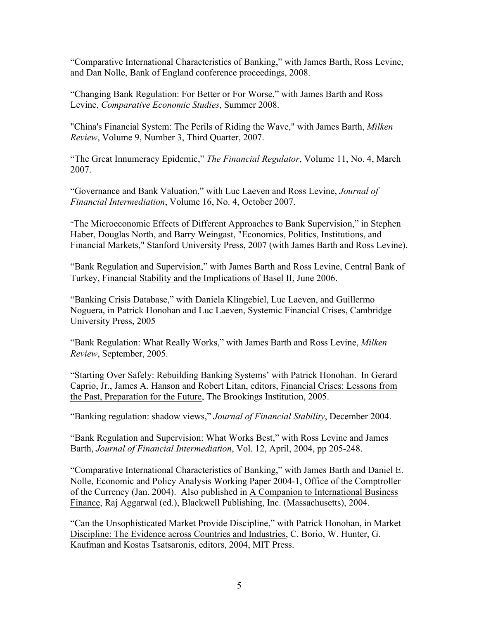"Comparative International Characteristics of Banking," with James Barth, Ross Levine, and Dan Nolle, Bank of England conference proceedings, 2008.

"Changing Bank Regulation: For Better or For Worse," with James Barth and Ross Levine, *Comparative Economic Studies*, Summer 2008.

"China's Financial System: The Perils of Riding the Wave," with James Barth, *Milken Review*, Volume 9, Number 3, Third Quarter, 2007.

"The Great Innumeracy Epidemic," *The Financial Regulator*, Volume 11, No. 4, March 2007.

"Governance and Bank Valuation," with Luc Laeven and Ross Levine, *Journal of Financial Intermediation*, Volume 16, No. 4, October 2007.

"The Microeconomic Effects of Different Approaches to Bank Supervision," in Stephen Haber, Douglas North, and Barry Weingast, "Economics, Politics, Institutions, and Financial Markets," Stanford University Press, 2007 (with James Barth and Ross Levine).

"Bank Regulation and Supervision," with James Barth and Ross Levine, Central Bank of Turkey, Financial Stability and the Implications of Basel II, June 2006.

"Banking Crisis Database," with Daniela Klingebiel, Luc Laeven, and Guillermo Noguera, in Patrick Honohan and Luc Laeven, Systemic Financial Crises, Cambridge University Press, 2005

"Bank Regulation: What Really Works," with James Barth and Ross Levine, *Milken Review*, September, 2005.

"Starting Over Safely: Rebuilding Banking Systems' with Patrick Honohan. In Gerard Caprio, Jr., James A. Hanson and Robert Litan, editors, Financial Crises: Lessons from the Past, Preparation for the Future, The Brookings Institution, 2005.

"Banking regulation: shadow views," *Journal of Financial Stability*, December 2004.

"Bank Regulation and Supervision: What Works Best," with Ross Levine and James Barth, *Journal of Financial Intermediation*, Vol. 12, April, 2004, pp 205-248.

"Comparative International Characteristics of Banking," with James Barth and Daniel E. Nolle, Economic and Policy Analysis Working Paper 2004-1, Office of the Comptroller of the Currency (Jan. 2004). Also published in A Companion to International Business Finance, Raj Aggarwal (ed.), Blackwell Publishing, Inc. (Massachusetts), 2004.

"Can the Unsophisticated Market Provide Discipline," with Patrick Honohan, in Market Discipline: The Evidence across Countries and Industries, C. Borio, W. Hunter, G. Kaufman and Kostas Tsatsaronis, editors, 2004, MIT Press.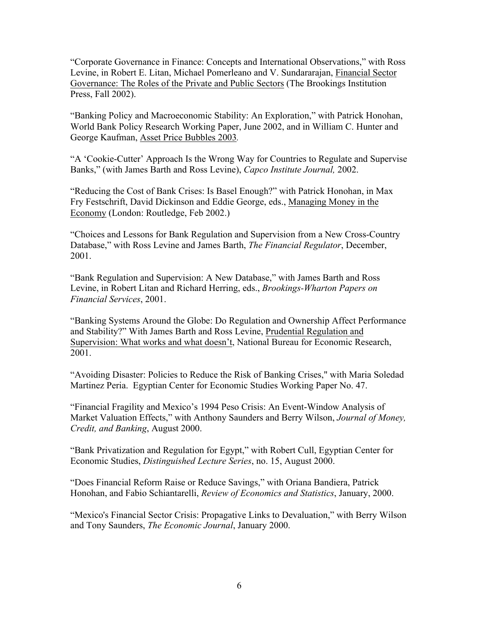"Corporate Governance in Finance: Concepts and International Observations," with Ross Levine, in Robert E. Litan, Michael Pomerleano and V. Sundararajan, Financial Sector Governance: The Roles of the Private and Public Sectors (The Brookings Institution Press, Fall 2002).

"Banking Policy and Macroeconomic Stability: An Exploration," with Patrick Honohan, World Bank Policy Research Working Paper, June 2002, and in William C. Hunter and George Kaufman, Asset Price Bubbles 2003*.*

"A 'Cookie-Cutter' Approach Is the Wrong Way for Countries to Regulate and Supervise Banks," (with James Barth and Ross Levine), *Capco Institute Journal,* 2002.

"Reducing the Cost of Bank Crises: Is Basel Enough?" with Patrick Honohan, in Max Fry Festschrift, David Dickinson and Eddie George, eds., Managing Money in the Economy (London: Routledge, Feb 2002.)

"Choices and Lessons for Bank Regulation and Supervision from a New Cross-Country Database," with Ross Levine and James Barth, *The Financial Regulator*, December, 2001.

"Bank Regulation and Supervision: A New Database," with James Barth and Ross Levine, in Robert Litan and Richard Herring, eds., *Brookings-Wharton Papers on Financial Services*, 2001.

"Banking Systems Around the Globe: Do Regulation and Ownership Affect Performance and Stability?" With James Barth and Ross Levine, Prudential Regulation and Supervision: What works and what doesn't, National Bureau for Economic Research, 2001.

"Avoiding Disaster: Policies to Reduce the Risk of Banking Crises," with Maria Soledad Martinez Peria. Egyptian Center for Economic Studies Working Paper No. 47.

"Financial Fragility and Mexico's 1994 Peso Crisis: An Event-Window Analysis of Market Valuation Effects," with Anthony Saunders and Berry Wilson, *Journal of Money, Credit, and Banking*, August 2000.

"Bank Privatization and Regulation for Egypt," with Robert Cull, Egyptian Center for Economic Studies, *Distinguished Lecture Series*, no. 15, August 2000.

"Does Financial Reform Raise or Reduce Savings," with Oriana Bandiera, Patrick Honohan, and Fabio Schiantarelli, *Review of Economics and Statistics*, January, 2000.

"Mexico's Financial Sector Crisis: Propagative Links to Devaluation," with Berry Wilson and Tony Saunders, *The Economic Journal*, January 2000.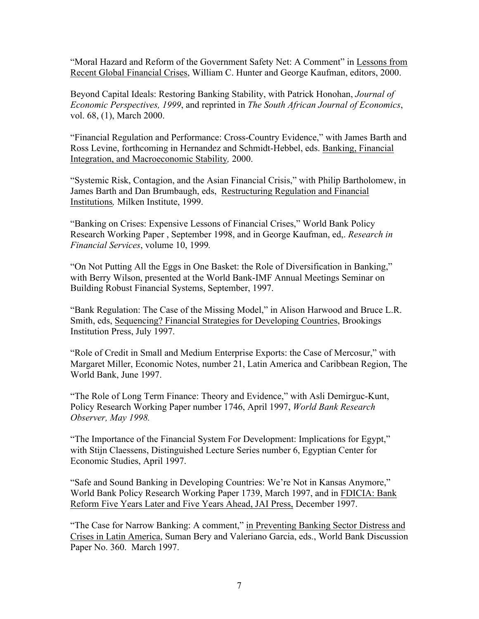"Moral Hazard and Reform of the Government Safety Net: A Comment" in Lessons from Recent Global Financial Crises, William C. Hunter and George Kaufman, editors, 2000.

Beyond Capital Ideals: Restoring Banking Stability, with Patrick Honohan, *Journal of Economic Perspectives, 1999*, and reprinted in *The South African Journal of Economics*, vol. 68, (1), March 2000.

"Financial Regulation and Performance: Cross-Country Evidence," with James Barth and Ross Levine, forthcoming in Hernandez and Schmidt-Hebbel, eds. Banking, Financial Integration, and Macroeconomic Stability*,* 2000.

"Systemic Risk, Contagion, and the Asian Financial Crisis," with Philip Bartholomew, in James Barth and Dan Brumbaugh, eds, Restructuring Regulation and Financial Institutions*,* Milken Institute, 1999.

"Banking on Crises: Expensive Lessons of Financial Crises," World Bank Policy Research Working Paper , September 1998, and in George Kaufman, ed,. *Research in Financial Services*, volume 10, 1999*.*

"On Not Putting All the Eggs in One Basket: the Role of Diversification in Banking," with Berry Wilson, presented at the World Bank-IMF Annual Meetings Seminar on Building Robust Financial Systems, September, 1997.

"Bank Regulation: The Case of the Missing Model," in Alison Harwood and Bruce L.R. Smith, eds, Sequencing? Financial Strategies for Developing Countries, Brookings Institution Press, July 1997.

"Role of Credit in Small and Medium Enterprise Exports: the Case of Mercosur," with Margaret Miller, Economic Notes, number 21, Latin America and Caribbean Region, The World Bank, June 1997.

"The Role of Long Term Finance: Theory and Evidence," with Asli Demirguc-Kunt, Policy Research Working Paper number 1746, April 1997, *World Bank Research Observer, May 1998.*

"The Importance of the Financial System For Development: Implications for Egypt," with Stijn Claessens, Distinguished Lecture Series number 6, Egyptian Center for Economic Studies, April 1997.

"Safe and Sound Banking in Developing Countries: We're Not in Kansas Anymore," World Bank Policy Research Working Paper 1739, March 1997, and in FDICIA: Bank Reform Five Years Later and Five Years Ahead, JAI Press, December 1997.

"The Case for Narrow Banking: A comment," in Preventing Banking Sector Distress and Crises in Latin America, Suman Bery and Valeriano Garcia, eds., World Bank Discussion Paper No. 360. March 1997.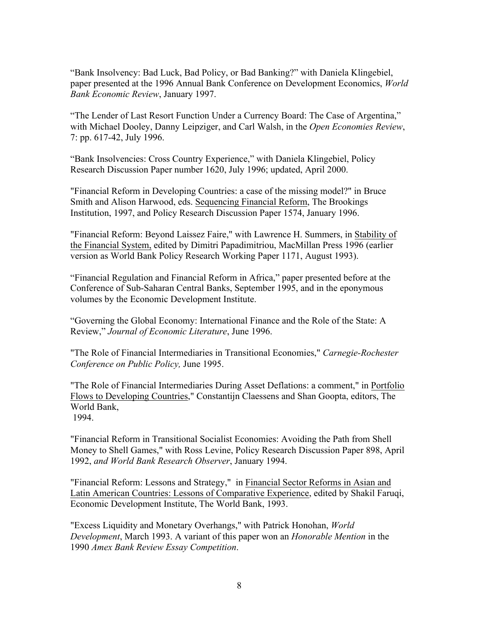"Bank Insolvency: Bad Luck, Bad Policy, or Bad Banking?" with Daniela Klingebiel, paper presented at the 1996 Annual Bank Conference on Development Economics, *World Bank Economic Review*, January 1997.

"The Lender of Last Resort Function Under a Currency Board: The Case of Argentina," with Michael Dooley, Danny Leipziger, and Carl Walsh, in the *Open Economies Review*, 7: pp. 617-42, July 1996.

"Bank Insolvencies: Cross Country Experience," with Daniela Klingebiel, Policy Research Discussion Paper number 1620, July 1996; updated, April 2000.

"Financial Reform in Developing Countries: a case of the missing model?" in Bruce Smith and Alison Harwood, eds. Sequencing Financial Reform, The Brookings Institution, 1997, and Policy Research Discussion Paper 1574, January 1996.

"Financial Reform: Beyond Laissez Faire," with Lawrence H. Summers, in Stability of the Financial System, edited by Dimitri Papadimitriou, MacMillan Press 1996 (earlier version as World Bank Policy Research Working Paper 1171, August 1993).

"Financial Regulation and Financial Reform in Africa," paper presented before at the Conference of Sub-Saharan Central Banks, September 1995, and in the eponymous volumes by the Economic Development Institute.

"Governing the Global Economy: International Finance and the Role of the State: A Review," *Journal of Economic Literature*, June 1996.

"The Role of Financial Intermediaries in Transitional Economies," *Carnegie-Rochester Conference on Public Policy,* June 1995.

"The Role of Financial Intermediaries During Asset Deflations: a comment," in Portfolio Flows to Developing Countries," Constantijn Claessens and Shan Goopta, editors, The World Bank,

1994.

"Financial Reform in Transitional Socialist Economies: Avoiding the Path from Shell Money to Shell Games," with Ross Levine, Policy Research Discussion Paper 898, April 1992, *and World Bank Research Observer*, January 1994.

"Financial Reform: Lessons and Strategy," in Financial Sector Reforms in Asian and Latin American Countries: Lessons of Comparative Experience, edited by Shakil Faruqi, Economic Development Institute, The World Bank, 1993.

"Excess Liquidity and Monetary Overhangs," with Patrick Honohan, *World Development*, March 1993. A variant of this paper won an *Honorable Mention* in the 1990 *Amex Bank Review Essay Competition*.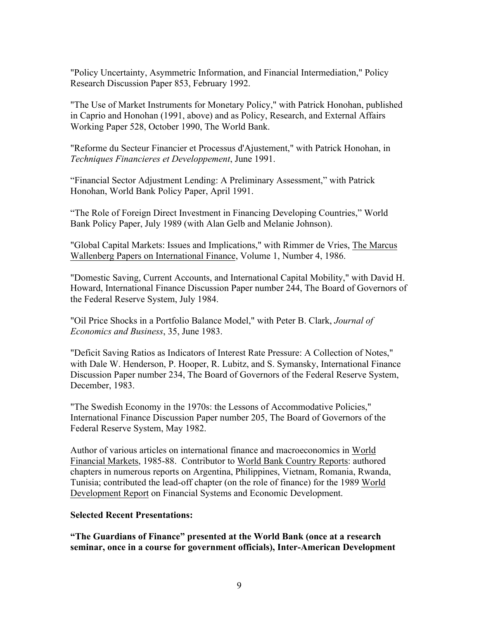"Policy Uncertainty, Asymmetric Information, and Financial Intermediation," Policy Research Discussion Paper 853, February 1992.

"The Use of Market Instruments for Monetary Policy," with Patrick Honohan, published in Caprio and Honohan (1991, above) and as Policy, Research, and External Affairs Working Paper 528, October 1990, The World Bank.

"Reforme du Secteur Financier et Processus d'Ajustement," with Patrick Honohan, in *Techniques Financieres et Developpement*, June 1991.

"Financial Sector Adjustment Lending: A Preliminary Assessment," with Patrick Honohan, World Bank Policy Paper, April 1991.

"The Role of Foreign Direct Investment in Financing Developing Countries," World Bank Policy Paper, July 1989 (with Alan Gelb and Melanie Johnson).

"Global Capital Markets: Issues and Implications," with Rimmer de Vries, The Marcus Wallenberg Papers on International Finance, Volume 1, Number 4, 1986.

"Domestic Saving, Current Accounts, and International Capital Mobility," with David H. Howard, International Finance Discussion Paper number 244, The Board of Governors of the Federal Reserve System, July 1984.

"Oil Price Shocks in a Portfolio Balance Model," with Peter B. Clark, *Journal of Economics and Business*, 35, June 1983.

"Deficit Saving Ratios as Indicators of Interest Rate Pressure: A Collection of Notes," with Dale W. Henderson, P. Hooper, R. Lubitz, and S. Symansky, International Finance Discussion Paper number 234, The Board of Governors of the Federal Reserve System, December, 1983.

"The Swedish Economy in the 1970s: the Lessons of Accommodative Policies," International Finance Discussion Paper number 205, The Board of Governors of the Federal Reserve System, May 1982.

Author of various articles on international finance and macroeconomics in World Financial Markets, 1985-88. Contributor to World Bank Country Reports: authored chapters in numerous reports on Argentina, Philippines, Vietnam, Romania, Rwanda, Tunisia; contributed the lead-off chapter (on the role of finance) for the 1989 World Development Report on Financial Systems and Economic Development.

# **Selected Recent Presentations:**

**"The Guardians of Finance" presented at the World Bank (once at a research seminar, once in a course for government officials), Inter-American Development**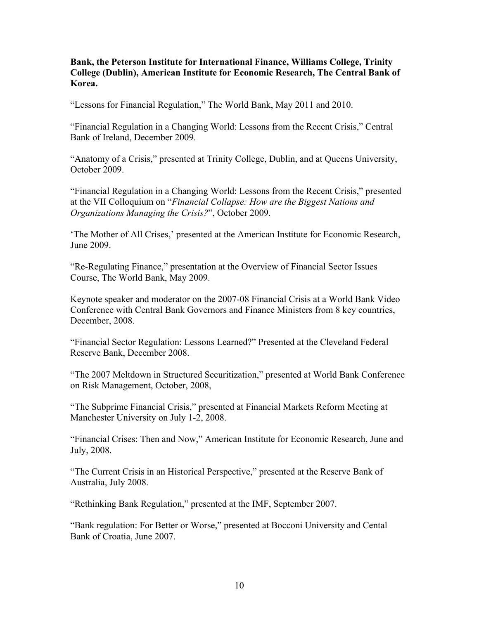**Bank, the Peterson Institute for International Finance, Williams College, Trinity College (Dublin), American Institute for Economic Research, The Central Bank of Korea.**

"Lessons for Financial Regulation," The World Bank, May 2011 and 2010.

"Financial Regulation in a Changing World: Lessons from the Recent Crisis," Central Bank of Ireland, December 2009.

"Anatomy of a Crisis," presented at Trinity College, Dublin, and at Queens University, October 2009.

"Financial Regulation in a Changing World: Lessons from the Recent Crisis," presented at the VII Colloquium on "*Financial Collapse: How are the Biggest Nations and Organizations Managing the Crisis?*", October 2009.

'The Mother of All Crises,' presented at the American Institute for Economic Research, June 2009.

"Re-Regulating Finance," presentation at the Overview of Financial Sector Issues Course, The World Bank, May 2009.

Keynote speaker and moderator on the 2007-08 Financial Crisis at a World Bank Video Conference with Central Bank Governors and Finance Ministers from 8 key countries, December, 2008.

"Financial Sector Regulation: Lessons Learned?" Presented at the Cleveland Federal Reserve Bank, December 2008.

"The 2007 Meltdown in Structured Securitization," presented at World Bank Conference on Risk Management, October, 2008,

"The Subprime Financial Crisis," presented at Financial Markets Reform Meeting at Manchester University on July 1-2, 2008.

"Financial Crises: Then and Now," American Institute for Economic Research, June and July, 2008.

"The Current Crisis in an Historical Perspective," presented at the Reserve Bank of Australia, July 2008.

"Rethinking Bank Regulation," presented at the IMF, September 2007.

"Bank regulation: For Better or Worse," presented at Bocconi University and Cental Bank of Croatia, June 2007.